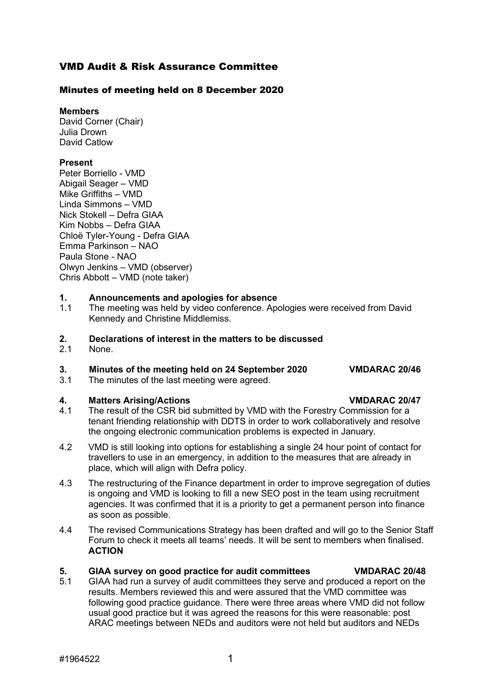## VMD Audit & Risk Assurance Committee

## Minutes of meeting held on 8 December 2020

**Members**

David Corner (Chair) Julia Drown David Catlow

## **Present**

Peter Borriello - VMD Abigail Seager – VMD Mike Griffiths – VMD Linda Simmons – VMD Nick Stokell – Defra GIAA Kim Nobbs – Defra GIAA Chloë Tyler-Young - Defra GIAA Emma Parkinson – NAO Paula Stone - NAO Olwyn Jenkins – VMD (observer) Chris Abbott – VMD (note taker)

### **1. Announcements and apologies for absence**

1.1 The meeting was held by video conference. Apologies were received from David Kennedy and Christine Middlemiss.

## **2. Declarations of interest in the matters to be discussed**<br>2.1 **None**

None.

# **3. Minutes of the meeting held on 24 September 2020 VMDARAC 20/46**

The minutes of the last meeting were agreed.

- **4. Matters Arising/Actions VMDARAC 20/47** The result of the CSR bid submitted by VMD with the Forestry Commission for a tenant friending relationship with DDTS in order to work collaboratively and resolve the ongoing electronic communication problems is expected in January.
- 4.2 VMD is still looking into options for establishing a single 24 hour point of contact for travellers to use in an emergency, in addition to the measures that are already in place, which will align with Defra policy.
- 4.3 The restructuring of the Finance department in order to improve segregation of duties is ongoing and VMD is looking to fill a new SEO post in the team using recruitment agencies. It was confirmed that it is a priority to get a permanent person into finance as soon as possible.
- 4.4 The revised Communications Strategy has been drafted and will go to the Senior Staff Forum to check it meets all teams' needs. It will be sent to members when finalised. **ACTION**

# **5. GIAA survey on good practice for audit committees VMDARAC 20/48**<br>**5.1** GIAA had run a survey of audit committees they serve and produced a report on the

5.1 GIAA had run a survey of audit committees they serve and produced a report on the results. Members reviewed this and were assured that the VMD committee was following good practice guidance. There were three areas where VMD did not follow usual good practice but it was agreed the reasons for this were reasonable: post ARAC meetings between NEDs and auditors were not held but auditors and NEDs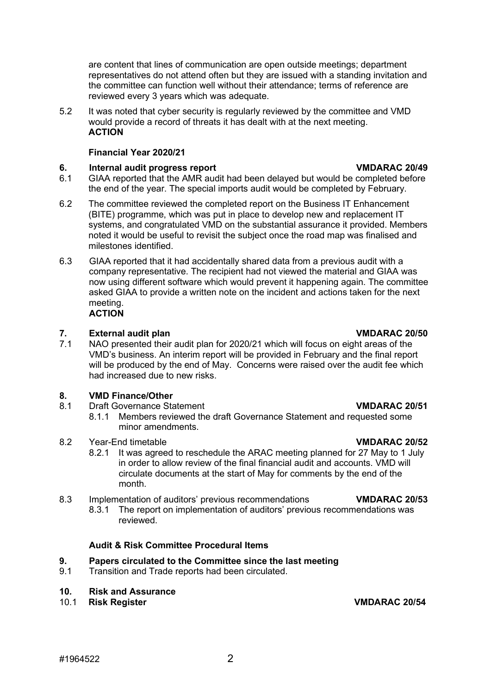are content that lines of communication are open outside meetings; department representatives do not attend often but they are issued with a standing invitation and the committee can function well without their attendance; terms of reference are reviewed every 3 years which was adequate.

5.2 It was noted that cyber security is regularly reviewed by the committee and VMD would provide a record of threats it has dealt with at the next meeting. **ACTION**

## **Financial Year 2020/21**

### **6. Internal audit progress report VMDARAC 20/49**

- 6.1 GIAA reported that the AMR audit had been delayed but would be completed before the end of the year. The special imports audit would be completed by February.
- 6.2 The committee reviewed the completed report on the Business IT Enhancement (BITE) programme, which was put in place to develop new and replacement IT systems, and congratulated VMD on the substantial assurance it provided. Members noted it would be useful to revisit the subject once the road map was finalised and milestones identified.
- 6.3 GIAA reported that it had accidentally shared data from a previous audit with a company representative. The recipient had not viewed the material and GIAA was now using different software which would prevent it happening again. The committee asked GIAA to provide a written note on the incident and actions taken for the next meeting. **ACTION**

**7. External audit plan Propertive and Texternal audit plan VMDARAC 20/50**<br>**7.1** NAO presented their audit plan for 2020/21 which will focus on eight areas of the NAO presented their audit plan for 2020/21 which will focus on eight areas of the VMD's business. An interim report will be provided in February and the final report will be produced by the end of May. Concerns were raised over the audit fee which had increased due to new risks.

# **8. VMD Finance/Other**

- 8.1 Draft Governance Statement **VMDARAC 20/51**
	- 8.1.1 Members reviewed the draft Governance Statement and requested some minor amendments.
- 8.2 Year-End timetable **VMDARAC 20/52**
	- 8.2.1 It was agreed to reschedule the ARAC meeting planned for 27 May to 1 July in order to allow review of the final financial audit and accounts. VMD will circulate documents at the start of May for comments by the end of the month.

8.3 Implementation of auditors' previous recommendations **VMDARAC 20/53** The report on implementation of auditors' previous recommendations was reviewed.

## **Audit & Risk Committee Procedural Items**

### **9. Papers circulated to the Committee since the last meeting**

9.1 Transition and Trade reports had been circulated.

# **10***.* **Risk and Assurance**

## 10.1 **Risk Register VMDARAC 20/54**